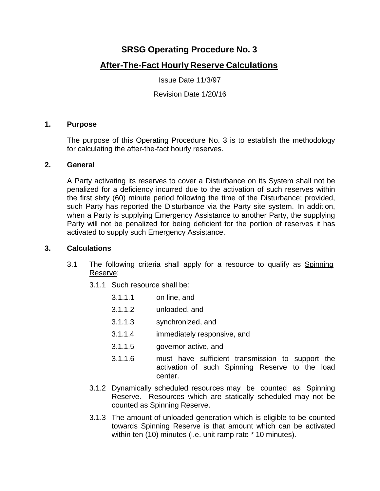# **SRSG Operating Procedure No. 3**

# **After-The-Fact Hourly Reserve Calculations**

Issue Date 11/3/97

Revision Date 1/20/16

### **1. Purpose**

The purpose of this Operating Procedure No. 3 is to establish the methodology for calculating the after-the-fact hourly reserves.

### **2. General**

A Party activating its reserves to cover a Disturbance on its System shall not be penalized for a deficiency incurred due to the activation of such reserves within the first sixty (60) minute period following the time of the Disturbance; provided, such Party has reported the Disturbance via the Party site system. In addition, when a Party is supplying Emergency Assistance to another Party, the supplying Party will not be penalized for being deficient for the portion of reserves it has activated to supply such Emergency Assistance.

#### **3. Calculations**

- 3.1 The following criteria shall apply for a resource to qualify as Spinning Reserve:
	- 3.1.1 Such resource shall be:
		- 3.1.1.1 on line, and
		- 3.1.1.2 unloaded, and
		- 3.1.1.3 synchronized, and
		- 3.1.1.4 immediately responsive, and
		- 3.1.1.5 governor active, and
		- 3.1.1.6 must have sufficient transmission to support the activation of such Spinning Reserve to the load center.
	- 3.1.2 Dynamically scheduled resources may be counted as Spinning Reserve. Resources which are statically scheduled may not be counted as Spinning Reserve.
	- 3.1.3 The amount of unloaded generation which is eligible to be counted towards Spinning Reserve is that amount which can be activated within ten (10) minutes (i.e. unit ramp rate \* 10 minutes).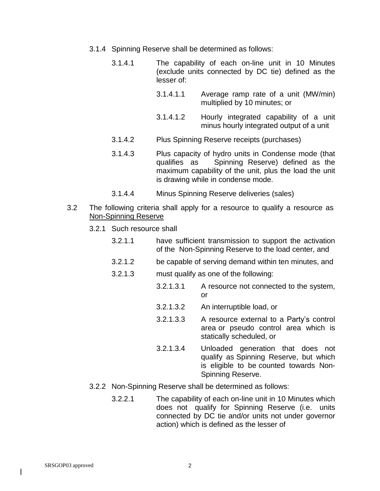- 3.1.4 Spinning Reserve shall be determined as follows:
	- 3.1.4.1 The capability of each on-line unit in 10 Minutes (exclude units connected by DC tie) defined as the lesser of:
		- 3.1.4.1.1 Average ramp rate of a unit (MW/min) multiplied by 10 minutes; or
		- 3.1.4.1.2 Hourly integrated capability of a unit minus hourly integrated output of a unit
	- 3.1.4.2 Plus Spinning Reserve receipts (purchases)
	- 3.1.4.3 Plus capacity of hydro units in Condense mode (that qualifies as Spinning Reserve) defined as the maximum capability of the unit, plus the load the unit is drawing while in condense mode.
	- 3.1.4.4 Minus Spinning Reserve deliveries (sales)
- 3.2 The following criteria shall apply for a resource to qualify a resource as Non-Spinning Reserve
	- 3.2.1 Such resource shall
		- 3.2.1.1 have sufficient transmission to support the activation of the Non-Spinning Reserve to the load center, and
		- 3.2.1.2 be capable of serving demand within ten minutes, and
		- 3.2.1.3 must qualify as one of the following:
			- 3.2.1.3.1 A resource not connected to the system, or
			- 3.2.1.3.2 An interruptible load, or
			- 3.2.1.3.3 A resource external to a Party's control area or pseudo control area which is statically scheduled, or
			- 3.2.1.3.4 Unloaded generation that does not qualify as Spinning Reserve, but which is eligible to be counted towards Non-Spinning Reserve.
	- 3.2.2 Non-Spinning Reserve shall be determined as follows:
		- 3.2.2.1 The capability of each on-line unit in 10 Minutes which does not qualify for Spinning Reserve (i.e. units connected by DC tie and/or units not under governor action) which is defined as the lesser of